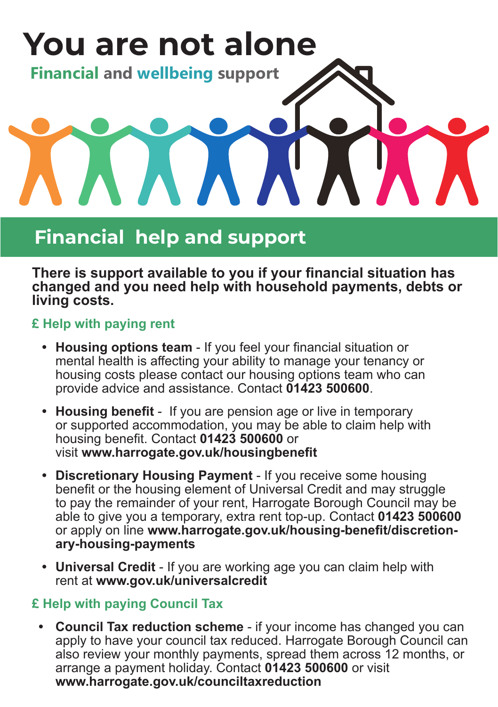

# **Financial help and support**

**There is support available to you if your financial situation has changed and you need help with household payments, debts or living costs.** 

#### **£ Help with paying rent**

- **• Housing options team** If you feel your financial situation or mental health is affecting your ability to manage your tenancy or housing costs please contact our housing options team who can provide advice and assistance. Contact **01423 500600**.
- **• Housing benefit** If you are pension age or live in temporary or supported accommodation, you may be able to claim help with housing benefit. Contact **01423 500600** or visit **www.harrogate.gov.uk/housingbenefit**
- **• Discretionary Housing Payment** If you receive some housing benefit or the housing element of Universal Credit and may struggle to pay the remainder of your rent, Harrogate Borough Council may be able to give you a temporary, extra rent top-up. Contact **01423 500600**  or apply on line **www.harrogate.gov.uk/housing-benefit/discretionary-housing-payments**
- **• Universal Credit** If you are working age you can claim help with rent at **www.gov.uk/universalcredit**

#### **£ Help with paying Council Tax**

**• Council Tax reduction scheme** - if your income has changed you can apply to have your council tax reduced. Harrogate Borough Council can also review your monthly payments, spread them across 12 months, or arrange a payment holiday. Contact **01423 500600** or visit **www.harrogate.gov.uk/counciltaxreduction**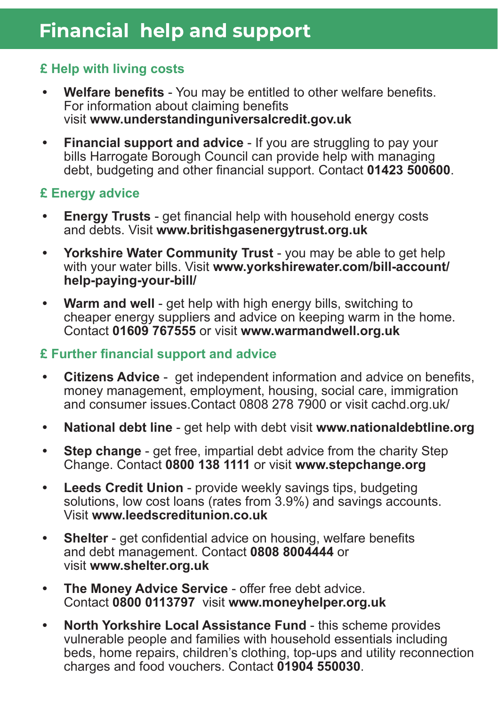# **Financial help and support**

### **£ Help with living costs**

- **• Welfare benefits** You may be entitled to other welfare benefits. For information about claiming benefits visit **www.understandinguniversalcredit.gov.uk**
- **• Financial support and advice** If you are struggling to pay your bills Harrogate Borough Council can provide help with managing debt, budgeting and other financial support. Contact **01423 500600**.

## **£ Energy advice**

- **• Energy Trusts** get financial help with household energy costs and debts. Visit **www.britishgasenergytrust.org.uk**
- **• Yorkshire Water Community Trust** you may be able to get help with your water bills. Visit **www.yorkshirewater.com/bill-account/ help-paying-your-bill/**
- **• Warm and well** get help with high energy bills, switching to cheaper energy suppliers and advice on keeping warm in the home. Contact **01609 767555** or visit **www.warmandwell.org.uk**

### **£ Further financial support and advice**

- **• Citizens Advice** get independent information and advice on benefits, money management, employment, housing, social care, immigration and consumer issues.Contact 0808 278 7900 or visit cachd.org.uk/
- **• National debt line** get help with debt visit **www.nationaldebtline.org**
- **• Step change** get free, impartial debt advice from the charity Step Change. Contact **0800 138 1111** or visit **www.stepchange.org**
- **• Leeds Credit Union** provide weekly savings tips, budgeting solutions, low cost loans (rates from 3.9%) and savings accounts. Visit **www.leedscreditunion.co.uk**
- **• Shelter** get confidential advice on housing, welfare benefits and debt management. Contact **0808 8004444** or visit **www.shelter.org.uk**
- **• The Money Advice Service** offer free debt advice. Contact **0800 0113797** visit **www.moneyhelper.org.uk**
- **• North Yorkshire Local Assistance Fund** this scheme provides vulnerable people and families with household essentials including beds, home repairs, children's clothing, top-ups and utility reconnection charges and food vouchers. Contact **01904 550030**.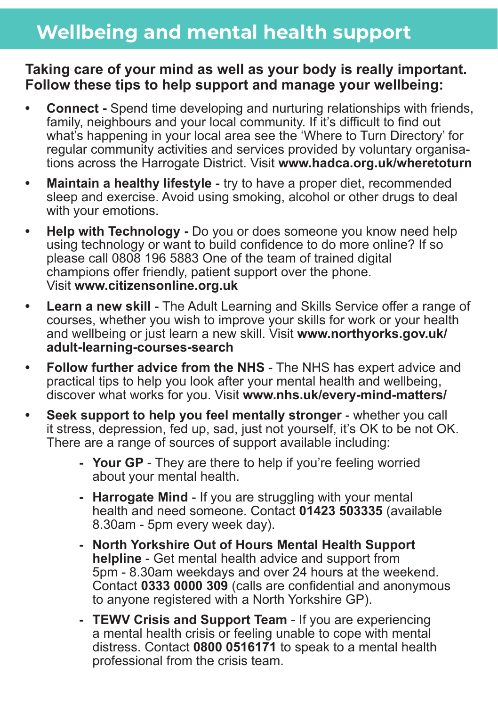# **Wellbeing and mental health support**

### **Taking care of your mind as well as your body is really important. Follow these tips to help support and manage your wellbeing:**

- **• Connect** Spend time developing and nurturing relationships with friends, family, neighbours and your local community. If it's difficult to find out what's happening in your local area see the 'Where to Turn Directory' for regular community activities and services provided by voluntary organisations across the Harrogate District. Visit **www.hadca.org.uk/wheretoturn**
- **• Maintain a healthy lifestyle** try to have a proper diet, recommended sleep and exercise. Avoid using smoking, alcohol or other drugs to deal with your emotions.
- **• Help with Technology** Do you or does someone you know need help using technology or want to build confidence to do more online? If so please call 0808 196 5883 One of the team of trained digital champions offer friendly, patient support over the phone. Visit **www.citizensonline.org.uk**
- **• Learn a new skill** The Adult Learning and Skills Service offer a range of courses, whether you wish to improve your skills for work or your health and wellbeing or just learn a new skill. Visit **www.northyorks.gov.uk/ adult-learning-courses-search**
- **• Follow further advice from the NHS** The NHS has expert advice and practical tips to help you look after your mental health and wellbeing, discover what works for you. Visit **www.nhs.uk/every-mind-matters/**
- **• Seek support to help you feel mentally stronger** whether you call it stress, depression, fed up, sad, just not yourself, it's OK to be not OK. There are a range of sources of support available including:
	- **- Your GP** They are there to help if you're feeling worried about your mental health.
	- **- Harrogate Mind** If you are struggling with your mental health and need someone. Contact **01423 503335** (available 8.30am - 5pm every week day).
	- **- North Yorkshire Out of Hours Mental Health Support helpline** - Get mental health advice and support from 5pm - 8.30am weekdays and over 24 hours at the weekend. Contact **0333 0000 309** (calls are confidential and anonymous to anyone registered with a North Yorkshire GP).
	- **- TEWV Crisis and Support Team** If you are experiencing a mental health crisis or feeling unable to cope with mental distress. Contact **0800 0516171** to speak to a mental health professional from the crisis team.